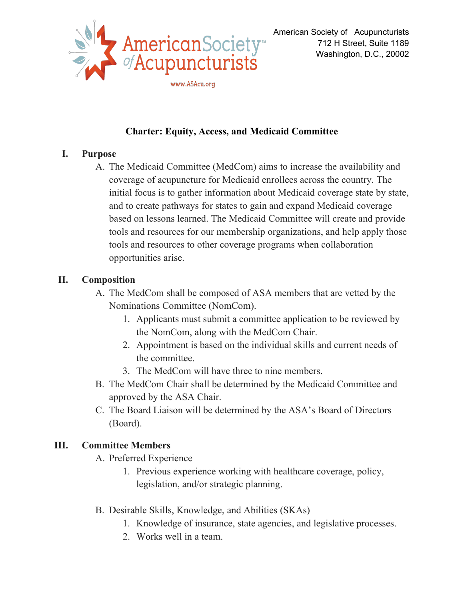

# **Charter: Equity, Access, and Medicaid Committee**

#### **I. Purpose**

A. The Medicaid Committee (MedCom) aims to increase the availability and coverage of acupuncture for Medicaid enrollees across the country. The initial focus is to gather information about Medicaid coverage state by state, and to create pathways for states to gain and expand Medicaid coverage based on lessons learned. The Medicaid Committee will create and provide tools and resources for our membership organizations, and help apply those tools and resources to other coverage programs when collaboration opportunities arise.

### **II. Composition**

- A. The MedCom shall be composed of ASA members that are vetted by the Nominations Committee (NomCom).
	- 1. Applicants must submit a committee application to be reviewed by the NomCom, along with the MedCom Chair.
	- 2. Appointment is based on the individual skills and current needs of the committee.
	- 3. The MedCom will have three to nine members.
- B. The MedCom Chair shall be determined by the Medicaid Committee and approved by the ASA Chair.
- C. The Board Liaison will be determined by the ASA's Board of Directors (Board).

## **III. Committee Members**

- A. Preferred Experience
	- 1. Previous experience working with healthcare coverage, policy, legislation, and/or strategic planning.
- B. Desirable Skills, Knowledge, and Abilities (SKAs)
	- 1. Knowledge of insurance, state agencies, and legislative processes.
	- 2. Works well in a team.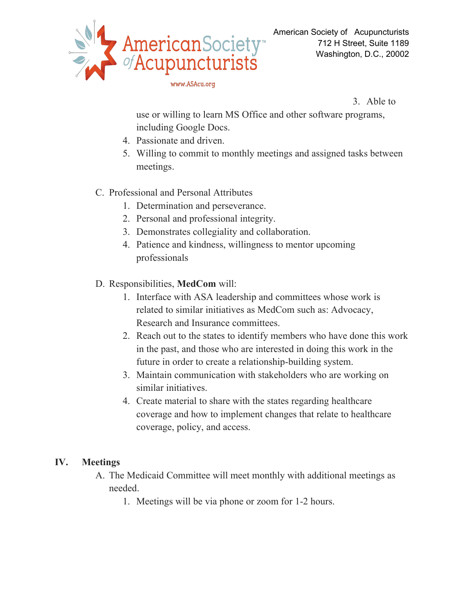

www.ASAcu.org

3. Able to

use or willing to learn MS Office and other software programs, including Google Docs.

- 4. Passionate and driven.
- 5. Willing to commit to monthly meetings and assigned tasks between meetings.

#### C. Professional and Personal Attributes

- 1. Determination and perseverance.
- 2. Personal and professional integrity.
- 3. Demonstrates collegiality and collaboration.
- 4. Patience and kindness, willingness to mentor upcoming professionals
- D. Responsibilities, **MedCom** will:
	- 1. Interface with ASA leadership and committees whose work is related to similar initiatives as MedCom such as: Advocacy, Research and Insurance committees.
	- 2. Reach out to the states to identify members who have done this work in the past, and those who are interested in doing this work in the future in order to create a relationship-building system.
	- 3. Maintain communication with stakeholders who are working on similar initiatives.
	- 4. Create material to share with the states regarding healthcare coverage and how to implement changes that relate to healthcare coverage, policy, and access.

#### **IV. Meetings**

- A. The Medicaid Committee will meet monthly with additional meetings as needed.
	- 1. Meetings will be via phone or zoom for 1-2 hours.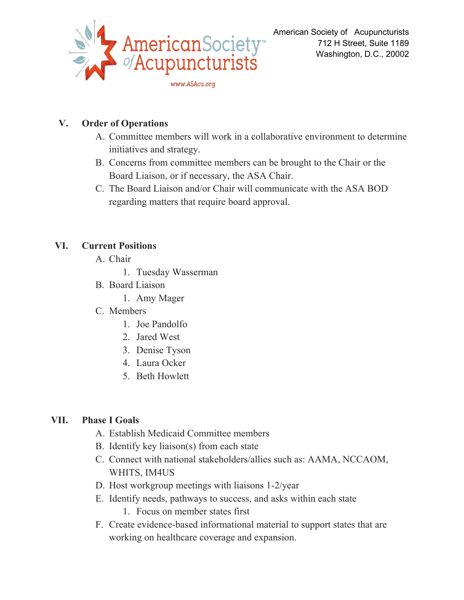

# **V. Order of Operations**

- A. Committee members will work in a collaborative environment to determine initiatives and strategy.
- B. Concerns from committee members can be brought to the Chair or the Board Liaison, or if necessary, the ASA Chair.
- C. The Board Liaison and/or Chair will communicate with the ASA BOD regarding matters that require board approval.

### **VI. Current Positions**

- A. Chair
	- 1. Tuesday Wasserman
- B. Board Liaison
	- 1. Amy Mager
- C. Members
	- 1. Joe Pandolfo
	- 2. Jared West
	- 3. Denise Tyson
	- 4. Laura Ocker
	- 5. Beth Howlett

## **VII. Phase I Goals**

- A. Establish Medicaid Committee members
- B. Identify key liaison(s) from each state
- C. Connect with national stakeholders/allies such as: AAMA, NCCAOM, WHITS, IM4US
- D. Host workgroup meetings with liaisons 1-2/year
- E. Identify needs, pathways to success, and asks within each state
	- 1. Focus on member states first
- F. Create evidence-based informational material to support states that are working on healthcare coverage and expansion.